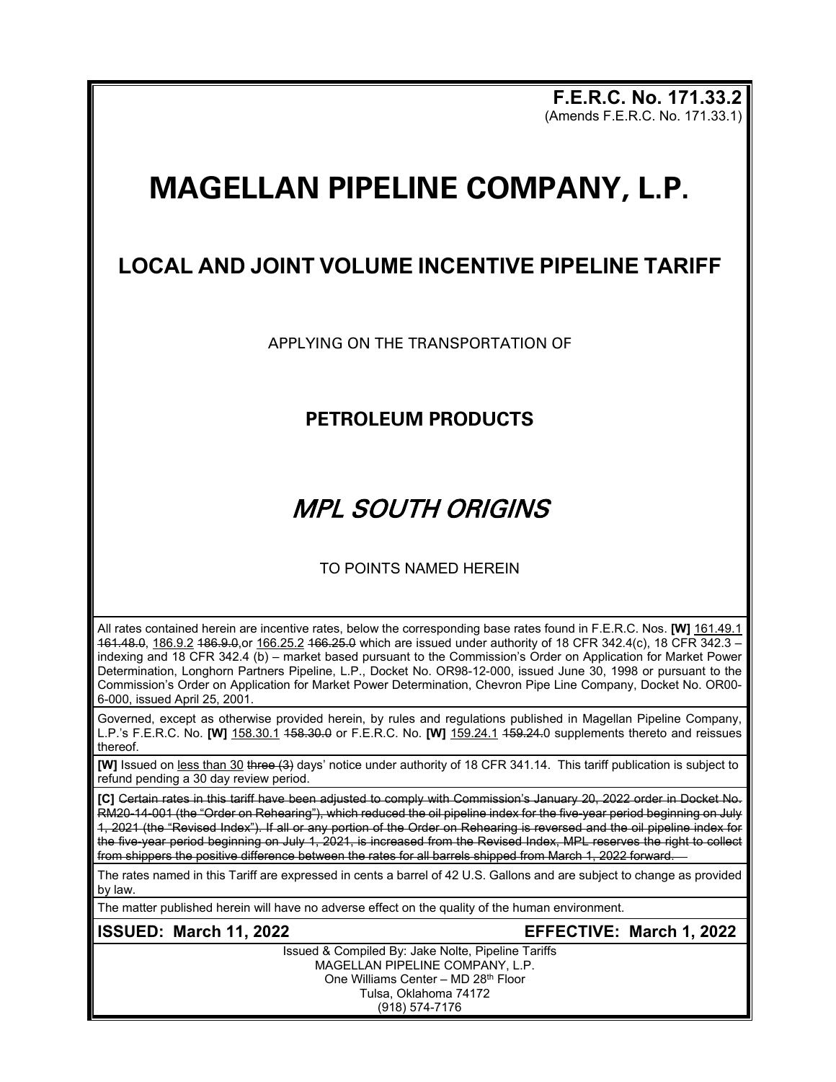**F.E.R.C. No. 171.33.2** (Amends F.E.R.C. No. 171.33.1)

# **MAGELLAN PIPELINE COMPANY, L.P.**

# **LOCAL AND JOINT VOLUME INCENTIVE PIPELINE TARIFF**

APPLYING ON THE TRANSPORTATION OF

## **PETROLEUM PRODUCTS**

# MPL SOUTH ORIGINS

### TO POINTS NAMED HEREIN

All rates contained herein are incentive rates, below the corresponding base rates found in F.E.R.C. Nos. **[W]** 161.49.1 161.48.0, 186.9.2 186.9.0,or 166.25.2 166.25.0 which are issued under authority of 18 CFR 342.4(c), 18 CFR 342.3 – indexing and 18 CFR 342.4 (b) – market based pursuant to the Commission's Order on Application for Market Power Determination, Longhorn Partners Pipeline, L.P., Docket No. OR98-12-000, issued June 30, 1998 or pursuant to the Commission's Order on Application for Market Power Determination, Chevron Pipe Line Company, Docket No. OR00- 6-000, issued April 25, 2001.

Governed, except as otherwise provided herein, by rules and regulations published in Magellan Pipeline Company, L.P.'s F.E.R.C. No. **[W]** 158.30.1 158.30.0 or F.E.R.C. No. **[W]** 159.24.1 159.24.0 supplements thereto and reissues thereof.

**[W]** Issued on less than 30 three (3) days' notice under authority of 18 CFR 341.14. This tariff publication is subject to -<br>refund pending a 30 day review period.

**[C]** Certain rates in this tariff have been adjusted to comply with Commission's January 20, 2022 order in Docket No. RM20-14-001 (the "Order on Rehearing"), which reduced the oil pipeline index for the five-year period beginning on July 1, 2021 (the "Revised Index"). If all or any portion of the Order on Rehearing is reversed and the oil pipeline index for the five-year period beginning on July 1, 2021, is increased from the Revised Index, MPL reserves the right to collect from shippers the positive difference between the rates for all barrels shipped from March 1, 2022 forward.

The rates named in this Tariff are expressed in cents a barrel of 42 U.S. Gallons and are subject to change as provided by law.

The matter published herein will have no adverse effect on the quality of the human environment.

### **ISSUED: March 11, 2022 EFFECTIVE: March 1, 2022**

Issued & Compiled By: Jake Nolte, Pipeline Tariffs MAGELLAN PIPELINE COMPANY, L.P. One Williams Center – MD 28th Floor Tulsa, Oklahoma 74172 (918) 574-7176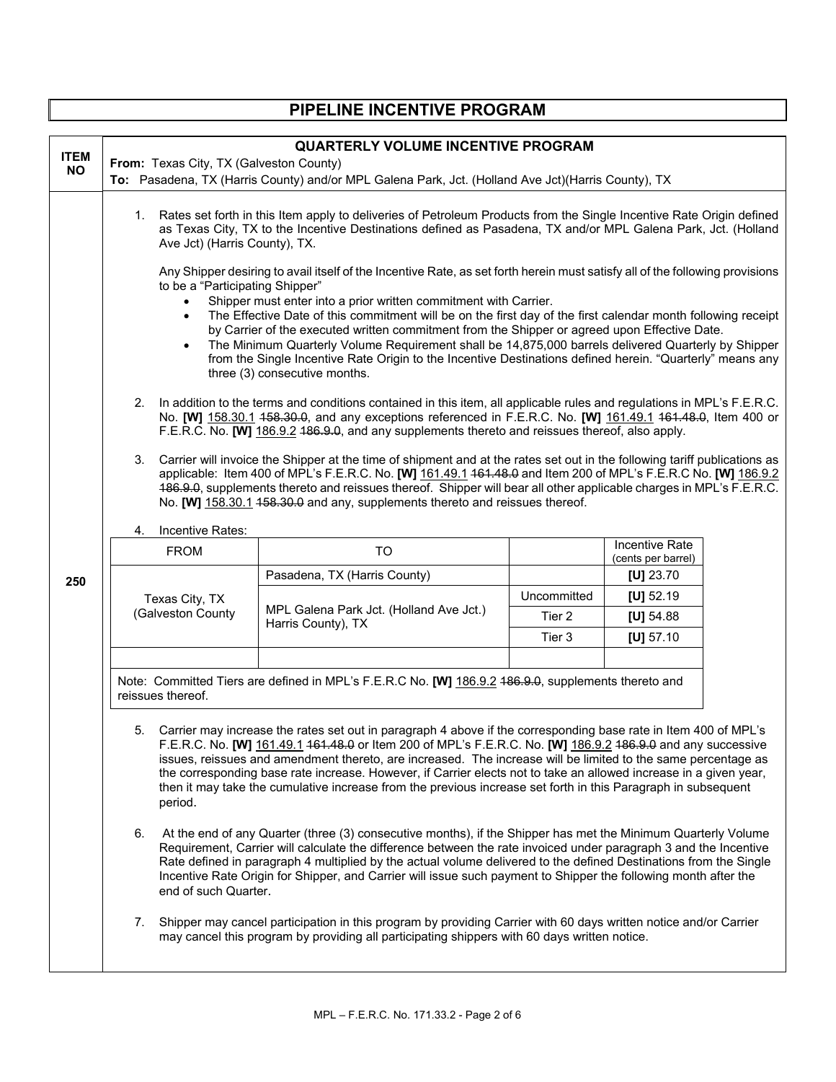| PIPELINE INCENTIVE PROGRAM |                                                                                                                                                                                                                                                                                                                                                                                                                                                                                                                                                                                                                                                                                                           |                                                                                                                                                                                                                     |             |                                             |  |
|----------------------------|-----------------------------------------------------------------------------------------------------------------------------------------------------------------------------------------------------------------------------------------------------------------------------------------------------------------------------------------------------------------------------------------------------------------------------------------------------------------------------------------------------------------------------------------------------------------------------------------------------------------------------------------------------------------------------------------------------------|---------------------------------------------------------------------------------------------------------------------------------------------------------------------------------------------------------------------|-------------|---------------------------------------------|--|
| <b>ITEM</b><br><b>NO</b>   | From: Texas City, TX (Galveston County)                                                                                                                                                                                                                                                                                                                                                                                                                                                                                                                                                                                                                                                                   | <b>QUARTERLY VOLUME INCENTIVE PROGRAM</b><br>To: Pasadena, TX (Harris County) and/or MPL Galena Park, Jct. (Holland Ave Jct) (Harris County), TX                                                                    |             |                                             |  |
|                            | 1. Rates set forth in this Item apply to deliveries of Petroleum Products from the Single Incentive Rate Origin defined<br>as Texas City, TX to the Incentive Destinations defined as Pasadena, TX and/or MPL Galena Park, Jct. (Holland<br>Ave Jct) (Harris County), TX.                                                                                                                                                                                                                                                                                                                                                                                                                                 |                                                                                                                                                                                                                     |             |                                             |  |
|                            | Any Shipper desiring to avail itself of the Incentive Rate, as set forth herein must satisfy all of the following provisions<br>to be a "Participating Shipper"<br>Shipper must enter into a prior written commitment with Carrier.<br>The Effective Date of this commitment will be on the first day of the first calendar month following receipt<br>by Carrier of the executed written commitment from the Shipper or agreed upon Effective Date.<br>The Minimum Quarterly Volume Requirement shall be 14,875,000 barrels delivered Quarterly by Shipper<br>from the Single Incentive Rate Origin to the Incentive Destinations defined herein. "Quarterly" means any<br>three (3) consecutive months. |                                                                                                                                                                                                                     |             |                                             |  |
|                            | 2. In addition to the terms and conditions contained in this item, all applicable rules and regulations in MPL's F.E.R.C.<br>No. [W] 158.30.1 458.30.0, and any exceptions referenced in F.E.R.C. No. [W] 161.49.1 464.48.0, Item 400 or<br>F.E.R.C. No. [W] 186.9.2 486.9.0, and any supplements thereto and reissues thereof, also apply.                                                                                                                                                                                                                                                                                                                                                               |                                                                                                                                                                                                                     |             |                                             |  |
|                            | 3. Carrier will invoice the Shipper at the time of shipment and at the rates set out in the following tariff publications as<br>applicable: Item 400 of MPL's F.E.R.C. No. [W] 161.49.1 461.48.0 and Item 200 of MPL's F.E.R.C No. [W] 186.9.2<br>486.9.0, supplements thereto and reissues thereof. Shipper will bear all other applicable charges in MPL's F.E.R.C.<br>No. [W] 158.30.1 458.30.0 and any, supplements thereto and reissues thereof.                                                                                                                                                                                                                                                     |                                                                                                                                                                                                                     |             |                                             |  |
|                            | Incentive Rates:<br>4.                                                                                                                                                                                                                                                                                                                                                                                                                                                                                                                                                                                                                                                                                    |                                                                                                                                                                                                                     |             |                                             |  |
|                            | <b>FROM</b>                                                                                                                                                                                                                                                                                                                                                                                                                                                                                                                                                                                                                                                                                               | <b>TO</b>                                                                                                                                                                                                           |             | <b>Incentive Rate</b><br>(cents per barrel) |  |
| 250                        | Texas City, TX<br>(Galveston County                                                                                                                                                                                                                                                                                                                                                                                                                                                                                                                                                                                                                                                                       | Pasadena, TX (Harris County)                                                                                                                                                                                        |             | [U] $23.70$                                 |  |
|                            |                                                                                                                                                                                                                                                                                                                                                                                                                                                                                                                                                                                                                                                                                                           |                                                                                                                                                                                                                     | Uncommitted | [U] $52.19$                                 |  |
|                            |                                                                                                                                                                                                                                                                                                                                                                                                                                                                                                                                                                                                                                                                                                           | MPL Galena Park Jct. (Holland Ave Jct.)<br>Harris County), TX                                                                                                                                                       | Tier 2      | [U] $54.88$                                 |  |
|                            |                                                                                                                                                                                                                                                                                                                                                                                                                                                                                                                                                                                                                                                                                                           |                                                                                                                                                                                                                     | Tier 3      | [U] $57.10$                                 |  |
|                            | Note: Committed Tiers are defined in MPL's F.E.R.C No. [W] 186.9.2 486.9.0, supplements thereto and<br>reissues thereof.                                                                                                                                                                                                                                                                                                                                                                                                                                                                                                                                                                                  |                                                                                                                                                                                                                     |             |                                             |  |
|                            | 5. Carrier may increase the rates set out in paragraph 4 above if the corresponding base rate in Item 400 of MPL's<br>F.E.R.C. No. [W] 161.49.1 464.48.0 or Item 200 of MPL's F.E.R.C. No. [W] 186.9.2 486.9.0 and any successive<br>issues, reissues and amendment thereto, are increased. The increase will be limited to the same percentage as<br>the corresponding base rate increase. However, if Carrier elects not to take an allowed increase in a given year,<br>then it may take the cumulative increase from the previous increase set forth in this Paragraph in subsequent<br>period.                                                                                                       |                                                                                                                                                                                                                     |             |                                             |  |
|                            | 6.<br>At the end of any Quarter (three (3) consecutive months), if the Shipper has met the Minimum Quarterly Volume<br>Requirement, Carrier will calculate the difference between the rate invoiced under paragraph 3 and the Incentive<br>Rate defined in paragraph 4 multiplied by the actual volume delivered to the defined Destinations from the Single<br>Incentive Rate Origin for Shipper, and Carrier will issue such payment to Shipper the following month after the<br>end of such Quarter.                                                                                                                                                                                                   |                                                                                                                                                                                                                     |             |                                             |  |
|                            |                                                                                                                                                                                                                                                                                                                                                                                                                                                                                                                                                                                                                                                                                                           | 7. Shipper may cancel participation in this program by providing Carrier with 60 days written notice and/or Carrier<br>may cancel this program by providing all participating shippers with 60 days written notice. |             |                                             |  |

Г

 $\overline{\mathbf{1}}$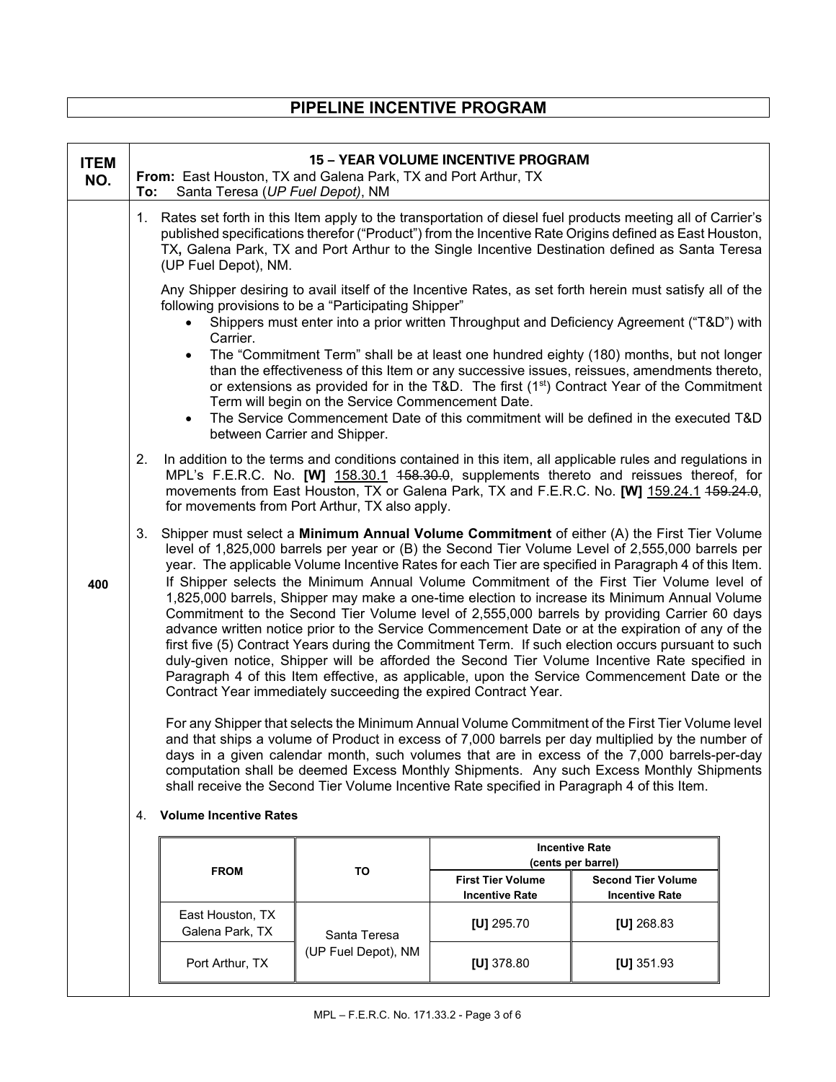## **PIPELINE INCENTIVE PROGRAM**

| <b>ITEM</b><br>NO. | From: East Houston, TX and Galena Park, TX and Port Arthur, TX<br>Santa Teresa (UP Fuel Depot), NM<br>To:                                                                                                                                                                                                                                                                                                                                                                                                                                                                                                                                                                                                                                                                                                                                                                                                                                                                                                                                                                                                                                   |                              | <b>15 - YEAR VOLUME INCENTIVE PROGRAM</b>                                                  |                                                                                                                                                                                                                                                                                                                                                                                                  |  |
|--------------------|---------------------------------------------------------------------------------------------------------------------------------------------------------------------------------------------------------------------------------------------------------------------------------------------------------------------------------------------------------------------------------------------------------------------------------------------------------------------------------------------------------------------------------------------------------------------------------------------------------------------------------------------------------------------------------------------------------------------------------------------------------------------------------------------------------------------------------------------------------------------------------------------------------------------------------------------------------------------------------------------------------------------------------------------------------------------------------------------------------------------------------------------|------------------------------|--------------------------------------------------------------------------------------------|--------------------------------------------------------------------------------------------------------------------------------------------------------------------------------------------------------------------------------------------------------------------------------------------------------------------------------------------------------------------------------------------------|--|
|                    | Rates set forth in this Item apply to the transportation of diesel fuel products meeting all of Carrier's<br>1.<br>published specifications therefor ("Product") from the Incentive Rate Origins defined as East Houston,<br>TX, Galena Park, TX and Port Arthur to the Single Incentive Destination defined as Santa Teresa<br>(UP Fuel Depot), NM.                                                                                                                                                                                                                                                                                                                                                                                                                                                                                                                                                                                                                                                                                                                                                                                        |                              |                                                                                            |                                                                                                                                                                                                                                                                                                                                                                                                  |  |
|                    | following provisions to be a "Participating Shipper"<br>Carrier.                                                                                                                                                                                                                                                                                                                                                                                                                                                                                                                                                                                                                                                                                                                                                                                                                                                                                                                                                                                                                                                                            |                              |                                                                                            | Any Shipper desiring to avail itself of the Incentive Rates, as set forth herein must satisfy all of the<br>Shippers must enter into a prior written Throughput and Deficiency Agreement ("T&D") with<br>The "Commitment Term" shall be at least one hundred eighty (180) months, but not longer                                                                                                 |  |
|                    | than the effectiveness of this Item or any successive issues, reissues, amendments thereto,<br>or extensions as provided for in the T&D. The first (1 <sup>st</sup> ) Contract Year of the Commitment<br>Term will begin on the Service Commencement Date.<br>The Service Commencement Date of this commitment will be defined in the executed T&D<br>$\bullet$                                                                                                                                                                                                                                                                                                                                                                                                                                                                                                                                                                                                                                                                                                                                                                             |                              |                                                                                            |                                                                                                                                                                                                                                                                                                                                                                                                  |  |
|                    | 2.                                                                                                                                                                                                                                                                                                                                                                                                                                                                                                                                                                                                                                                                                                                                                                                                                                                                                                                                                                                                                                                                                                                                          | between Carrier and Shipper. |                                                                                            | In addition to the terms and conditions contained in this item, all applicable rules and regulations in<br>MPL's F.E.R.C. No. [W] 158.30.1 458.30.0, supplements thereto and reissues thereof, for<br>movements from East Houston, TX or Galena Park, TX and F.E.R.C. No. [W] 159.24.1 459.24.0,                                                                                                 |  |
| 400                | for movements from Port Arthur, TX also apply.<br>Shipper must select a Minimum Annual Volume Commitment of either (A) the First Tier Volume<br>3.<br>level of 1,825,000 barrels per year or (B) the Second Tier Volume Level of 2,555,000 barrels per<br>year. The applicable Volume Incentive Rates for each Tier are specified in Paragraph 4 of this Item.<br>If Shipper selects the Minimum Annual Volume Commitment of the First Tier Volume level of<br>1,825,000 barrels, Shipper may make a one-time election to increase its Minimum Annual Volume<br>Commitment to the Second Tier Volume level of 2,555,000 barrels by providing Carrier 60 days<br>advance written notice prior to the Service Commencement Date or at the expiration of any of the<br>first five (5) Contract Years during the Commitment Term. If such election occurs pursuant to such<br>duly-given notice, Shipper will be afforded the Second Tier Volume Incentive Rate specified in<br>Paragraph 4 of this Item effective, as applicable, upon the Service Commencement Date or the<br>Contract Year immediately succeeding the expired Contract Year. |                              |                                                                                            |                                                                                                                                                                                                                                                                                                                                                                                                  |  |
|                    |                                                                                                                                                                                                                                                                                                                                                                                                                                                                                                                                                                                                                                                                                                                                                                                                                                                                                                                                                                                                                                                                                                                                             |                              | shall receive the Second Tier Volume Incentive Rate specified in Paragraph 4 of this Item. | For any Shipper that selects the Minimum Annual Volume Commitment of the First Tier Volume level<br>and that ships a volume of Product in excess of 7,000 barrels per day multiplied by the number of<br>days in a given calendar month, such volumes that are in excess of the 7,000 barrels-per-day<br>computation shall be deemed Excess Monthly Shipments. Any such Excess Monthly Shipments |  |
|                    | <b>Volume Incentive Rates</b><br>4.                                                                                                                                                                                                                                                                                                                                                                                                                                                                                                                                                                                                                                                                                                                                                                                                                                                                                                                                                                                                                                                                                                         |                              |                                                                                            |                                                                                                                                                                                                                                                                                                                                                                                                  |  |
|                    |                                                                                                                                                                                                                                                                                                                                                                                                                                                                                                                                                                                                                                                                                                                                                                                                                                                                                                                                                                                                                                                                                                                                             |                              |                                                                                            | <b>Incentive Rate</b><br>(cents per barrel)                                                                                                                                                                                                                                                                                                                                                      |  |
|                    | <b>FROM</b>                                                                                                                                                                                                                                                                                                                                                                                                                                                                                                                                                                                                                                                                                                                                                                                                                                                                                                                                                                                                                                                                                                                                 | TO                           | <b>First Tier Volume</b><br><b>Incentive Rate</b>                                          | <b>Second Tier Volume</b><br><b>Incentive Rate</b>                                                                                                                                                                                                                                                                                                                                               |  |
|                    | East Houston, TX<br>Galena Park, TX                                                                                                                                                                                                                                                                                                                                                                                                                                                                                                                                                                                                                                                                                                                                                                                                                                                                                                                                                                                                                                                                                                         | Santa Teresa                 | [U] $295.70$                                                                               | [U] $268.83$                                                                                                                                                                                                                                                                                                                                                                                     |  |
|                    | Port Arthur, TX                                                                                                                                                                                                                                                                                                                                                                                                                                                                                                                                                                                                                                                                                                                                                                                                                                                                                                                                                                                                                                                                                                                             | (UP Fuel Depot), NM          | [U] $378.80$                                                                               | [U] $351.93$                                                                                                                                                                                                                                                                                                                                                                                     |  |
|                    |                                                                                                                                                                                                                                                                                                                                                                                                                                                                                                                                                                                                                                                                                                                                                                                                                                                                                                                                                                                                                                                                                                                                             |                              |                                                                                            |                                                                                                                                                                                                                                                                                                                                                                                                  |  |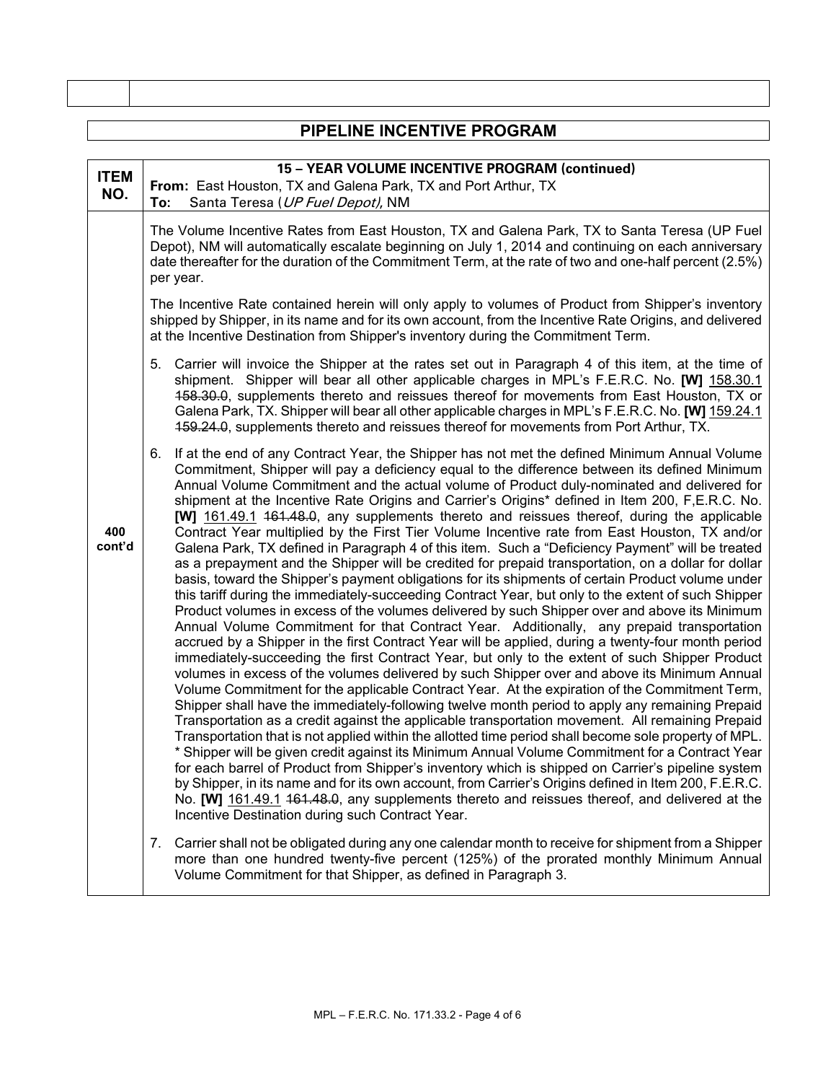| PIPELINE INCENTIVE PROGRAM |                                                                                                                                                                                                                                                                                                                                                                                                                                                                                                                                                                                                                                                                                                                                                                                                                                                                                                                                                                                                                                                                                                                                                                                                                                                                                                                                                                                                                                                                                                                                                                                                                                                                                                                                                                                                                                                                                                                                                                                                                                                                                                                                                                                                                                                                                                                                                                                                                       |  |  |
|----------------------------|-----------------------------------------------------------------------------------------------------------------------------------------------------------------------------------------------------------------------------------------------------------------------------------------------------------------------------------------------------------------------------------------------------------------------------------------------------------------------------------------------------------------------------------------------------------------------------------------------------------------------------------------------------------------------------------------------------------------------------------------------------------------------------------------------------------------------------------------------------------------------------------------------------------------------------------------------------------------------------------------------------------------------------------------------------------------------------------------------------------------------------------------------------------------------------------------------------------------------------------------------------------------------------------------------------------------------------------------------------------------------------------------------------------------------------------------------------------------------------------------------------------------------------------------------------------------------------------------------------------------------------------------------------------------------------------------------------------------------------------------------------------------------------------------------------------------------------------------------------------------------------------------------------------------------------------------------------------------------------------------------------------------------------------------------------------------------------------------------------------------------------------------------------------------------------------------------------------------------------------------------------------------------------------------------------------------------------------------------------------------------------------------------------------------------|--|--|
|                            |                                                                                                                                                                                                                                                                                                                                                                                                                                                                                                                                                                                                                                                                                                                                                                                                                                                                                                                                                                                                                                                                                                                                                                                                                                                                                                                                                                                                                                                                                                                                                                                                                                                                                                                                                                                                                                                                                                                                                                                                                                                                                                                                                                                                                                                                                                                                                                                                                       |  |  |
| <b>ITEM</b><br>NO.         | 15 - YEAR VOLUME INCENTIVE PROGRAM (continued)<br>From: East Houston, TX and Galena Park, TX and Port Arthur, TX<br>Santa Teresa (UP Fuel Depot), NM<br>To:                                                                                                                                                                                                                                                                                                                                                                                                                                                                                                                                                                                                                                                                                                                                                                                                                                                                                                                                                                                                                                                                                                                                                                                                                                                                                                                                                                                                                                                                                                                                                                                                                                                                                                                                                                                                                                                                                                                                                                                                                                                                                                                                                                                                                                                           |  |  |
|                            | The Volume Incentive Rates from East Houston, TX and Galena Park, TX to Santa Teresa (UP Fuel<br>Depot), NM will automatically escalate beginning on July 1, 2014 and continuing on each anniversary<br>date thereafter for the duration of the Commitment Term, at the rate of two and one-half percent (2.5%)<br>per year.                                                                                                                                                                                                                                                                                                                                                                                                                                                                                                                                                                                                                                                                                                                                                                                                                                                                                                                                                                                                                                                                                                                                                                                                                                                                                                                                                                                                                                                                                                                                                                                                                                                                                                                                                                                                                                                                                                                                                                                                                                                                                          |  |  |
|                            | The Incentive Rate contained herein will only apply to volumes of Product from Shipper's inventory<br>shipped by Shipper, in its name and for its own account, from the Incentive Rate Origins, and delivered<br>at the Incentive Destination from Shipper's inventory during the Commitment Term.                                                                                                                                                                                                                                                                                                                                                                                                                                                                                                                                                                                                                                                                                                                                                                                                                                                                                                                                                                                                                                                                                                                                                                                                                                                                                                                                                                                                                                                                                                                                                                                                                                                                                                                                                                                                                                                                                                                                                                                                                                                                                                                    |  |  |
|                            | 5. Carrier will invoice the Shipper at the rates set out in Paragraph 4 of this item, at the time of<br>shipment. Shipper will bear all other applicable charges in MPL's F.E.R.C. No. [W] 158.30.1<br>458.30.0, supplements thereto and reissues thereof for movements from East Houston, TX or<br>Galena Park, TX. Shipper will bear all other applicable charges in MPL's F.E.R.C. No. [W] 159.24.1<br>459.24.0, supplements thereto and reissues thereof for movements from Port Arthur, TX.                                                                                                                                                                                                                                                                                                                                                                                                                                                                                                                                                                                                                                                                                                                                                                                                                                                                                                                                                                                                                                                                                                                                                                                                                                                                                                                                                                                                                                                                                                                                                                                                                                                                                                                                                                                                                                                                                                                      |  |  |
| 400<br>cont'd              | 6. If at the end of any Contract Year, the Shipper has not met the defined Minimum Annual Volume<br>Commitment, Shipper will pay a deficiency equal to the difference between its defined Minimum<br>Annual Volume Commitment and the actual volume of Product duly-nominated and delivered for<br>shipment at the Incentive Rate Origins and Carrier's Origins* defined in Item 200, F,E.R.C. No.<br>[W] 161.49.1 464.48.0, any supplements thereto and reissues thereof, during the applicable<br>Contract Year multiplied by the First Tier Volume Incentive rate from East Houston, TX and/or<br>Galena Park, TX defined in Paragraph 4 of this item. Such a "Deficiency Payment" will be treated<br>as a prepayment and the Shipper will be credited for prepaid transportation, on a dollar for dollar<br>basis, toward the Shipper's payment obligations for its shipments of certain Product volume under<br>this tariff during the immediately-succeeding Contract Year, but only to the extent of such Shipper<br>Product volumes in excess of the volumes delivered by such Shipper over and above its Minimum<br>Annual Volume Commitment for that Contract Year. Additionally, any prepaid transportation<br>accrued by a Shipper in the first Contract Year will be applied, during a twenty-four month period<br>immediately-succeeding the first Contract Year, but only to the extent of such Shipper Product<br>volumes in excess of the volumes delivered by such Shipper over and above its Minimum Annual<br>Volume Commitment for the applicable Contract Year. At the expiration of the Commitment Term,<br>Shipper shall have the immediately-following twelve month period to apply any remaining Prepaid<br>Transportation as a credit against the applicable transportation movement. All remaining Prepaid<br>Transportation that is not applied within the allotted time period shall become sole property of MPL.<br>* Shipper will be given credit against its Minimum Annual Volume Commitment for a Contract Year<br>for each barrel of Product from Shipper's inventory which is shipped on Carrier's pipeline system<br>by Shipper, in its name and for its own account, from Carrier's Origins defined in Item 200, F.E.R.C.<br>No. [W] 161.49.1 461.48.0, any supplements thereto and reissues thereof, and delivered at the<br>Incentive Destination during such Contract Year. |  |  |
|                            | Carrier shall not be obligated during any one calendar month to receive for shipment from a Shipper<br>7.<br>more than one hundred twenty-five percent (125%) of the prorated monthly Minimum Annual                                                                                                                                                                                                                                                                                                                                                                                                                                                                                                                                                                                                                                                                                                                                                                                                                                                                                                                                                                                                                                                                                                                                                                                                                                                                                                                                                                                                                                                                                                                                                                                                                                                                                                                                                                                                                                                                                                                                                                                                                                                                                                                                                                                                                  |  |  |

Volume Commitment for that Shipper, as defined in Paragraph 3.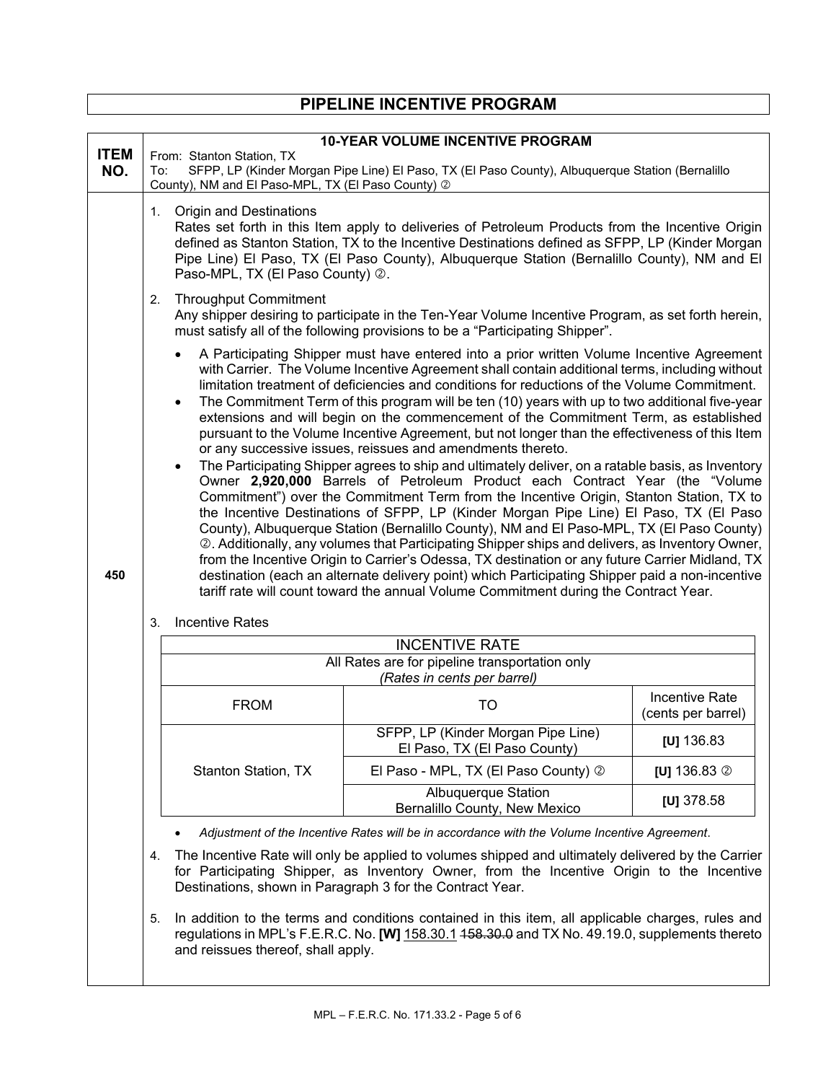|                    | FIFLLINL INGLINITYL FROGRAM                                                                                                                                                                                                                                                                                                                                          |                                                                                                                                                                                                                                                                                                                                                                                                                                                                                                                                                                                                                                                                                                                                                                                                                                                                                                                                                                                                                                                                                                                                                                                                                                                                                                                                                                                                                                                                |  |  |
|--------------------|----------------------------------------------------------------------------------------------------------------------------------------------------------------------------------------------------------------------------------------------------------------------------------------------------------------------------------------------------------------------|----------------------------------------------------------------------------------------------------------------------------------------------------------------------------------------------------------------------------------------------------------------------------------------------------------------------------------------------------------------------------------------------------------------------------------------------------------------------------------------------------------------------------------------------------------------------------------------------------------------------------------------------------------------------------------------------------------------------------------------------------------------------------------------------------------------------------------------------------------------------------------------------------------------------------------------------------------------------------------------------------------------------------------------------------------------------------------------------------------------------------------------------------------------------------------------------------------------------------------------------------------------------------------------------------------------------------------------------------------------------------------------------------------------------------------------------------------------|--|--|
|                    |                                                                                                                                                                                                                                                                                                                                                                      |                                                                                                                                                                                                                                                                                                                                                                                                                                                                                                                                                                                                                                                                                                                                                                                                                                                                                                                                                                                                                                                                                                                                                                                                                                                                                                                                                                                                                                                                |  |  |
| <b>ITEM</b><br>NO. | From: Stanton Station, TX<br>To:<br>County), NM and El Paso-MPL, TX (El Paso County) 2                                                                                                                                                                                                                                                                               | <b>10-YEAR VOLUME INCENTIVE PROGRAM</b><br>SFPP, LP (Kinder Morgan Pipe Line) El Paso, TX (El Paso County), Albuquerque Station (Bernalillo                                                                                                                                                                                                                                                                                                                                                                                                                                                                                                                                                                                                                                                                                                                                                                                                                                                                                                                                                                                                                                                                                                                                                                                                                                                                                                                    |  |  |
|                    | 1. Origin and Destinations<br>Rates set forth in this Item apply to deliveries of Petroleum Products from the Incentive Origin<br>defined as Stanton Station, TX to the Incentive Destinations defined as SFPP, LP (Kinder Morgan<br>Pipe Line) El Paso, TX (El Paso County), Albuquerque Station (Bernalillo County), NM and El<br>Paso-MPL, TX (El Paso County) 2. |                                                                                                                                                                                                                                                                                                                                                                                                                                                                                                                                                                                                                                                                                                                                                                                                                                                                                                                                                                                                                                                                                                                                                                                                                                                                                                                                                                                                                                                                |  |  |
|                    | <b>Throughput Commitment</b><br>2.<br>Any shipper desiring to participate in the Ten-Year Volume Incentive Program, as set forth herein,<br>must satisfy all of the following provisions to be a "Participating Shipper".                                                                                                                                            |                                                                                                                                                                                                                                                                                                                                                                                                                                                                                                                                                                                                                                                                                                                                                                                                                                                                                                                                                                                                                                                                                                                                                                                                                                                                                                                                                                                                                                                                |  |  |
| 450                | $\bullet$<br>$\bullet$<br>or any successive issues, reissues and amendments thereto.<br>$\bullet$                                                                                                                                                                                                                                                                    | A Participating Shipper must have entered into a prior written Volume Incentive Agreement<br>with Carrier. The Volume Incentive Agreement shall contain additional terms, including without<br>limitation treatment of deficiencies and conditions for reductions of the Volume Commitment.<br>The Commitment Term of this program will be ten (10) years with up to two additional five-year<br>extensions and will begin on the commencement of the Commitment Term, as established<br>pursuant to the Volume Incentive Agreement, but not longer than the effectiveness of this Item<br>The Participating Shipper agrees to ship and ultimately deliver, on a ratable basis, as Inventory<br>Owner 2,920,000 Barrels of Petroleum Product each Contract Year (the "Volume<br>Commitment") over the Commitment Term from the Incentive Origin, Stanton Station, TX to<br>the Incentive Destinations of SFPP, LP (Kinder Morgan Pipe Line) El Paso, TX (El Paso<br>County), Albuquerque Station (Bernalillo County), NM and El Paso-MPL, TX (El Paso County)<br>2. Additionally, any volumes that Participating Shipper ships and delivers, as Inventory Owner,<br>from the Incentive Origin to Carrier's Odessa, TX destination or any future Carrier Midland, TX<br>destination (each an alternate delivery point) which Participating Shipper paid a non-incentive<br>tariff rate will count toward the annual Volume Commitment during the Contract Year. |  |  |
|                    | <b>Incentive Rates</b><br>3.                                                                                                                                                                                                                                                                                                                                         |                                                                                                                                                                                                                                                                                                                                                                                                                                                                                                                                                                                                                                                                                                                                                                                                                                                                                                                                                                                                                                                                                                                                                                                                                                                                                                                                                                                                                                                                |  |  |
|                    | <b>INCENTIVE RATE</b>                                                                                                                                                                                                                                                                                                                                                |                                                                                                                                                                                                                                                                                                                                                                                                                                                                                                                                                                                                                                                                                                                                                                                                                                                                                                                                                                                                                                                                                                                                                                                                                                                                                                                                                                                                                                                                |  |  |
|                    | (Rates in cents per barrel)                                                                                                                                                                                                                                                                                                                                          | All Rates are for pipeline transportation only                                                                                                                                                                                                                                                                                                                                                                                                                                                                                                                                                                                                                                                                                                                                                                                                                                                                                                                                                                                                                                                                                                                                                                                                                                                                                                                                                                                                                 |  |  |
|                    | <b>FROM</b><br>TO                                                                                                                                                                                                                                                                                                                                                    | Incentive Rate<br>(cents per barrel)                                                                                                                                                                                                                                                                                                                                                                                                                                                                                                                                                                                                                                                                                                                                                                                                                                                                                                                                                                                                                                                                                                                                                                                                                                                                                                                                                                                                                           |  |  |
|                    | SFPP, LP (Kinder Morgan Pipe Line)<br>El Paso, TX (El Paso County)                                                                                                                                                                                                                                                                                                   | [U] $136.83$                                                                                                                                                                                                                                                                                                                                                                                                                                                                                                                                                                                                                                                                                                                                                                                                                                                                                                                                                                                                                                                                                                                                                                                                                                                                                                                                                                                                                                                   |  |  |
|                    | <b>Stanton Station, TX</b><br>El Paso - MPL, TX (El Paso County) 2                                                                                                                                                                                                                                                                                                   | [U] $136.83$ $\circledcirc$                                                                                                                                                                                                                                                                                                                                                                                                                                                                                                                                                                                                                                                                                                                                                                                                                                                                                                                                                                                                                                                                                                                                                                                                                                                                                                                                                                                                                                    |  |  |
|                    | <b>Albuquerque Station</b><br>Bernalillo County, New Mexico                                                                                                                                                                                                                                                                                                          | [U] $378.58$                                                                                                                                                                                                                                                                                                                                                                                                                                                                                                                                                                                                                                                                                                                                                                                                                                                                                                                                                                                                                                                                                                                                                                                                                                                                                                                                                                                                                                                   |  |  |

**PIPELINE INCENTIVE PROGRAM**

- *Adjustment of the Incentive Rates will be in accordance with the Volume Incentive Agreement*.
- 4. The Incentive Rate will only be applied to volumes shipped and ultimately delivered by the Carrier for Participating Shipper, as Inventory Owner, from the Incentive Origin to the Incentive Destinations, shown in Paragraph 3 for the Contract Year.
- 5. In addition to the terms and conditions contained in this item, all applicable charges, rules and regulations in MPL's F.E.R.C. No. **[W]** 158.30.1 158.30.0 and TX No. 49.19.0, supplements thereto and reissues thereof, shall apply.